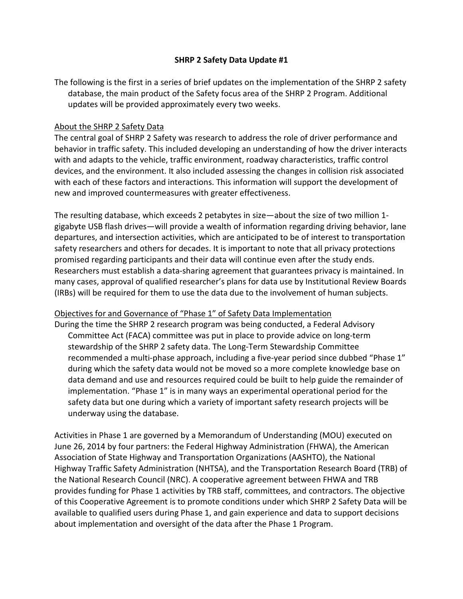#### **SHRP 2 Safety Data Update #1**

The following is the first in a series of brief updates on the implementation of the SHRP 2 safety database, the main product of the Safety focus area of the SHRP 2 Program. Additional updates will be provided approximately every two weeks.

#### About the SHRP 2 Safety Data

The central goal of SHRP 2 Safety was research to address the role of driver performance and behavior in traffic safety. This included developing an understanding of how the driver interacts with and adapts to the vehicle, traffic environment, roadway characteristics, traffic control devices, and the environment. It also included assessing the changes in collision risk associated with each of these factors and interactions. This information will support the development of new and improved countermeasures with greater effectiveness.

The resulting database, which exceeds 2 petabytes in size—about the size of two million 1 gigabyte USB flash drives—will provide a wealth of information regarding driving behavior, lane departures, and intersection activities, which are anticipated to be of interest to transportation safety researchers and others for decades. It is important to note that all privacy protections promised regarding participants and their data will continue even after the study ends. Researchers must establish a data-sharing agreement that guarantees privacy is maintained. In many cases, approval of qualified researcher's plans for data use by Institutional Review Boards (IRBs) will be required for them to use the data due to the involvement of human subjects.

# Objectives for and Governance of "Phase 1" of Safety Data Implementation

During the time the SHRP 2 research program was being conducted, a Federal Advisory Committee Act (FACA) committee was put in place to provide advice on long-term stewardship of the SHRP 2 safety data. The Long-Term Stewardship Committee recommended a multi-phase approach, including a five-year period since dubbed "Phase 1" during which the safety data would not be moved so a more complete knowledge base on data demand and use and resources required could be built to help guide the remainder of implementation. "Phase 1" is in many ways an experimental operational period for the safety data but one during which a variety of important safety research projects will be underway using the database.

Activities in Phase 1 are governed by a Memorandum of Understanding (MOU) executed on June 26, 2014 by four partners: the Federal Highway Administration (FHWA), the American Association of State Highway and Transportation Organizations (AASHTO), the National Highway Traffic Safety Administration (NHTSA), and the Transportation Research Board (TRB) of the National Research Council (NRC). A cooperative agreement between FHWA and TRB provides funding for Phase 1 activities by TRB staff, committees, and contractors. The objective of this Cooperative Agreement is to promote conditions under which SHRP 2 Safety Data will be available to qualified users during Phase 1, and gain experience and data to support decisions about implementation and oversight of the data after the Phase 1 Program.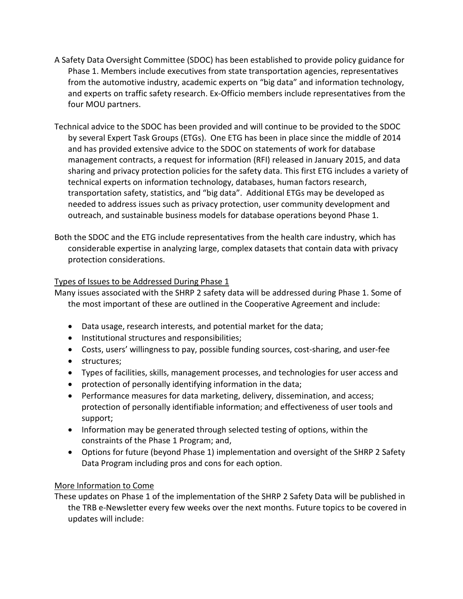- A Safety Data Oversight Committee (SDOC) has been established to provide policy guidance for Phase 1. Members include executives from state transportation agencies, representatives from the automotive industry, academic experts on "big data" and information technology, and experts on traffic safety research. Ex-Officio members include representatives from the four MOU partners.
- Technical advice to the SDOC has been provided and will continue to be provided to the SDOC by several Expert Task Groups (ETGs). One ETG has been in place since the middle of 2014 and has provided extensive advice to the SDOC on statements of work for database management contracts, a request for information (RFI) released in January 2015, and data sharing and privacy protection policies for the safety data. This first ETG includes a variety of technical experts on information technology, databases, human factors research, transportation safety, statistics, and "big data". Additional ETGs may be developed as needed to address issues such as privacy protection, user community development and outreach, and sustainable business models for database operations beyond Phase 1.
- Both the SDOC and the ETG include representatives from the health care industry, which has considerable expertise in analyzing large, complex datasets that contain data with privacy protection considerations.

# Types of Issues to be Addressed During Phase 1

Many issues associated with the SHRP 2 safety data will be addressed during Phase 1. Some of the most important of these are outlined in the Cooperative Agreement and include:

- Data usage, research interests, and potential market for the data;
- Institutional structures and responsibilities;
- Costs, users' willingness to pay, possible funding sources, cost-sharing, and user-fee
- structures;
- Types of facilities, skills, management processes, and technologies for user access and
- protection of personally identifying information in the data;
- Performance measures for data marketing, delivery, dissemination, and access; protection of personally identifiable information; and effectiveness of user tools and support;
- Information may be generated through selected testing of options, within the constraints of the Phase 1 Program; and,
- Options for future (beyond Phase 1) implementation and oversight of the SHRP 2 Safety Data Program including pros and cons for each option.

# More Information to Come

These updates on Phase 1 of the implementation of the SHRP 2 Safety Data will be published in the TRB e-Newsletter every few weeks over the next months. Future topics to be covered in updates will include: